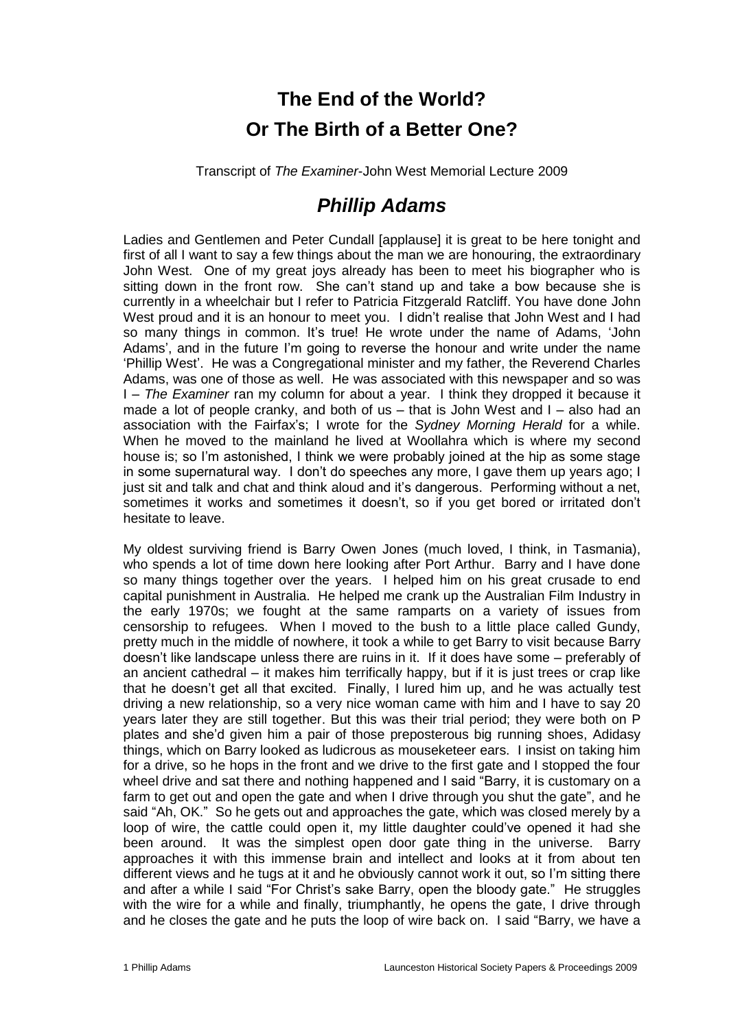## **The End of the World? Or The Birth of a Better One?**

Transcript of *The Examiner*-John West Memorial Lecture 2009

## *Phillip Adams*

Ladies and Gentlemen and Peter Cundall [applause] it is great to be here tonight and first of all I want to say a few things about the man we are honouring, the extraordinary John West. One of my great joys already has been to meet his biographer who is sitting down in the front row. She can't stand up and take a bow because she is currently in a wheelchair but I refer to Patricia Fitzgerald Ratcliff. You have done John West proud and it is an honour to meet you. I didn't realise that John West and I had so many things in common. It's true! He wrote under the name of Adams, 'John Adams', and in the future I'm going to reverse the honour and write under the name 'Phillip West'. He was a Congregational minister and my father, the Reverend Charles Adams, was one of those as well. He was associated with this newspaper and so was I – *The Examiner* ran my column for about a year. I think they dropped it because it made a lot of people cranky, and both of us – that is John West and I – also had an association with the Fairfax's; I wrote for the *Sydney Morning Herald* for a while. When he moved to the mainland he lived at Woollahra which is where my second house is; so I'm astonished, I think we were probably joined at the hip as some stage in some supernatural way. I don't do speeches any more, I gave them up years ago; I just sit and talk and chat and think aloud and it's dangerous. Performing without a net, sometimes it works and sometimes it doesn't, so if you get bored or irritated don't hesitate to leave.

My oldest surviving friend is Barry Owen Jones (much loved, I think, in Tasmania), who spends a lot of time down here looking after Port Arthur. Barry and I have done so many things together over the years. I helped him on his great crusade to end capital punishment in Australia. He helped me crank up the Australian Film Industry in the early 1970s; we fought at the same ramparts on a variety of issues from censorship to refugees. When I moved to the bush to a little place called Gundy, pretty much in the middle of nowhere, it took a while to get Barry to visit because Barry doesn't like landscape unless there are ruins in it. If it does have some – preferably of an ancient cathedral – it makes him terrifically happy, but if it is just trees or crap like that he doesn't get all that excited. Finally, I lured him up, and he was actually test driving a new relationship, so a very nice woman came with him and I have to say 20 years later they are still together. But this was their trial period; they were both on P plates and she'd given him a pair of those preposterous big running shoes, Adidasy things, which on Barry looked as ludicrous as mouseketeer ears. I insist on taking him for a drive, so he hops in the front and we drive to the first gate and I stopped the four wheel drive and sat there and nothing happened and I said "Barry, it is customary on a farm to get out and open the gate and when I drive through you shut the gate", and he said "Ah, OK." So he gets out and approaches the gate, which was closed merely by a loop of wire, the cattle could open it, my little daughter could've opened it had she been around. It was the simplest open door gate thing in the universe. Barry approaches it with this immense brain and intellect and looks at it from about ten different views and he tugs at it and he obviously cannot work it out, so I'm sitting there and after a while I said "For Christ's sake Barry, open the bloody gate." He struggles with the wire for a while and finally, triumphantly, he opens the gate, I drive through and he closes the gate and he puts the loop of wire back on. I said "Barry, we have a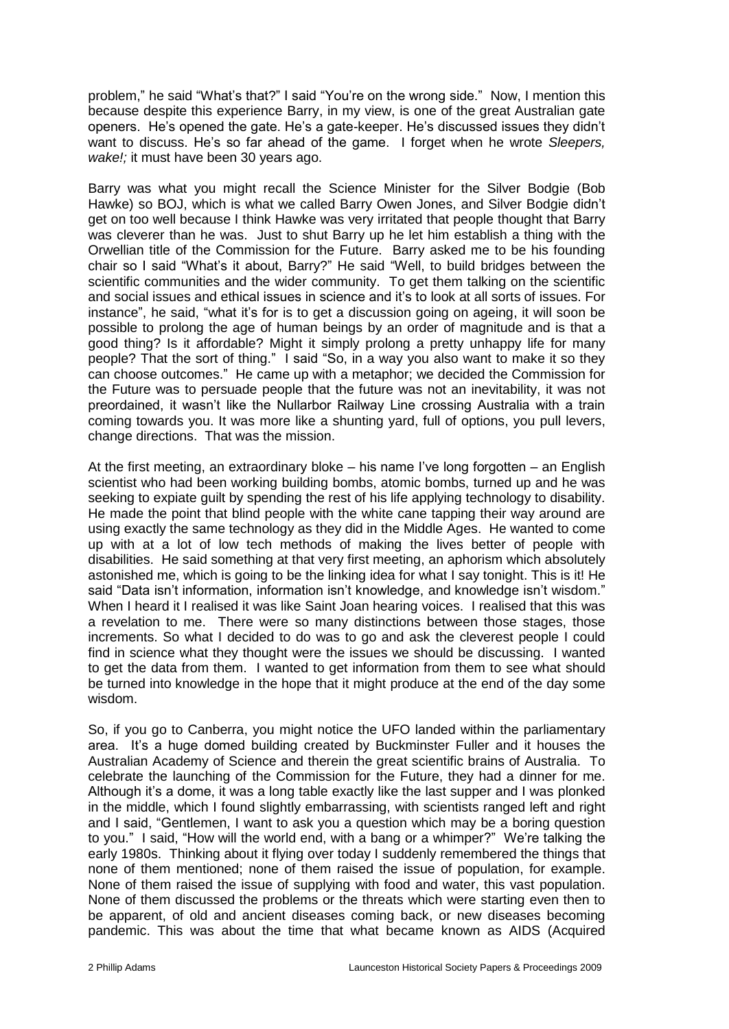problem," he said "What's that?" I said "You're on the wrong side." Now, I mention this because despite this experience Barry, in my view, is one of the great Australian gate openers. He's opened the gate. He's a gate-keeper. He's discussed issues they didn't want to discuss. He's so far ahead of the game. I forget when he wrote *Sleepers, wake!;* it must have been 30 years ago.

Barry was what you might recall the Science Minister for the Silver Bodgie (Bob Hawke) so BOJ, which is what we called Barry Owen Jones, and Silver Bodgie didn't get on too well because I think Hawke was very irritated that people thought that Barry was cleverer than he was. Just to shut Barry up he let him establish a thing with the Orwellian title of the Commission for the Future. Barry asked me to be his founding chair so I said "What's it about, Barry?" He said "Well, to build bridges between the scientific communities and the wider community. To get them talking on the scientific and social issues and ethical issues in science and it's to look at all sorts of issues. For instance", he said, "what it's for is to get a discussion going on ageing, it will soon be possible to prolong the age of human beings by an order of magnitude and is that a good thing? Is it affordable? Might it simply prolong a pretty unhappy life for many people? That the sort of thing." I said "So, in a way you also want to make it so they can choose outcomes." He came up with a metaphor; we decided the Commission for the Future was to persuade people that the future was not an inevitability, it was not preordained, it wasn't like the Nullarbor Railway Line crossing Australia with a train coming towards you. It was more like a shunting yard, full of options, you pull levers, change directions. That was the mission.

At the first meeting, an extraordinary bloke – his name I've long forgotten – an English scientist who had been working building bombs, atomic bombs, turned up and he was seeking to expiate guilt by spending the rest of his life applying technology to disability. He made the point that blind people with the white cane tapping their way around are using exactly the same technology as they did in the Middle Ages. He wanted to come up with at a lot of low tech methods of making the lives better of people with disabilities. He said something at that very first meeting, an aphorism which absolutely astonished me, which is going to be the linking idea for what I say tonight. This is it! He said "Data isn't information, information isn't knowledge, and knowledge isn't wisdom." When I heard it I realised it was like Saint Joan hearing voices. I realised that this was a revelation to me. There were so many distinctions between those stages, those increments. So what I decided to do was to go and ask the cleverest people I could find in science what they thought were the issues we should be discussing. I wanted to get the data from them. I wanted to get information from them to see what should be turned into knowledge in the hope that it might produce at the end of the day some wisdom.

So, if you go to Canberra, you might notice the UFO landed within the parliamentary area. It's a huge domed building created by Buckminster Fuller and it houses the Australian Academy of Science and therein the great scientific brains of Australia. To celebrate the launching of the Commission for the Future, they had a dinner for me. Although it's a dome, it was a long table exactly like the last supper and I was plonked in the middle, which I found slightly embarrassing, with scientists ranged left and right and I said, "Gentlemen, I want to ask you a question which may be a boring question to you." I said, "How will the world end, with a bang or a whimper?" We're talking the early 1980s. Thinking about it flying over today I suddenly remembered the things that none of them mentioned; none of them raised the issue of population, for example. None of them raised the issue of supplying with food and water, this vast population. None of them discussed the problems or the threats which were starting even then to be apparent, of old and ancient diseases coming back, or new diseases becoming pandemic. This was about the time that what became known as AIDS (Acquired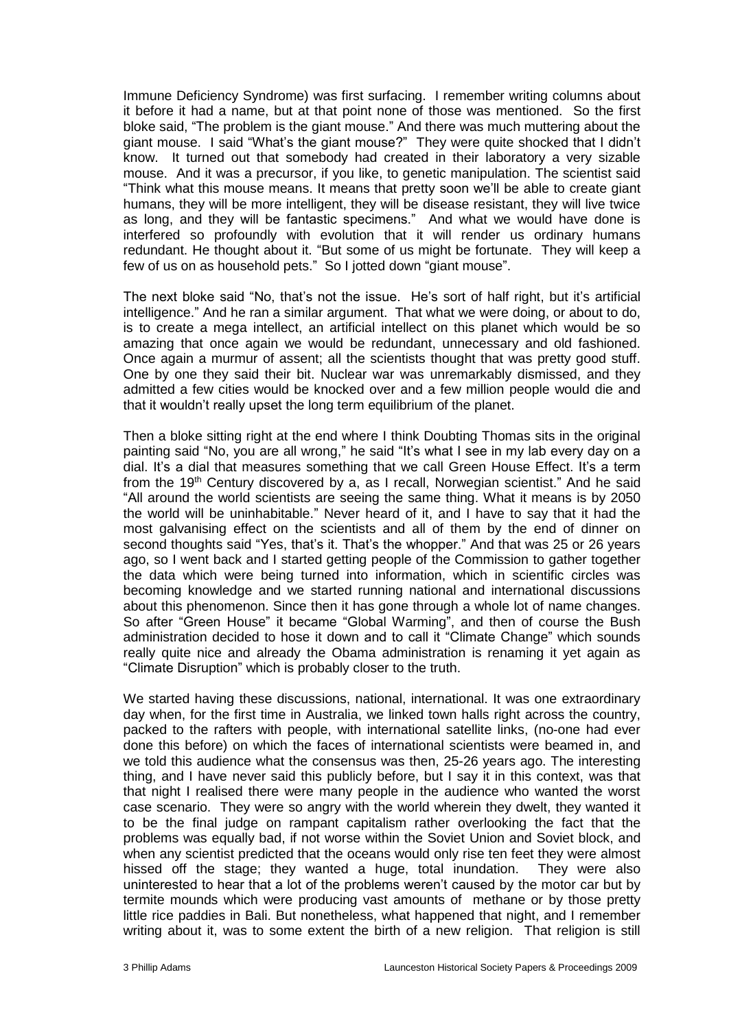Immune Deficiency Syndrome) was first surfacing. I remember writing columns about it before it had a name, but at that point none of those was mentioned. So the first bloke said, "The problem is the giant mouse." And there was much muttering about the giant mouse. I said "What's the giant mouse?" They were quite shocked that I didn't know. It turned out that somebody had created in their laboratory a very sizable mouse. And it was a precursor, if you like, to genetic manipulation. The scientist said "Think what this mouse means. It means that pretty soon we'll be able to create giant humans, they will be more intelligent, they will be disease resistant, they will live twice as long, and they will be fantastic specimens." And what we would have done is interfered so profoundly with evolution that it will render us ordinary humans redundant. He thought about it. "But some of us might be fortunate. They will keep a few of us on as household pets." So I jotted down "giant mouse".

The next bloke said "No, that's not the issue. He's sort of half right, but it's artificial intelligence." And he ran a similar argument. That what we were doing, or about to do, is to create a mega intellect, an artificial intellect on this planet which would be so amazing that once again we would be redundant, unnecessary and old fashioned. Once again a murmur of assent; all the scientists thought that was pretty good stuff. One by one they said their bit. Nuclear war was unremarkably dismissed, and they admitted a few cities would be knocked over and a few million people would die and that it wouldn't really upset the long term equilibrium of the planet.

Then a bloke sitting right at the end where I think Doubting Thomas sits in the original painting said "No, you are all wrong," he said "It's what I see in my lab every day on a dial. It's a dial that measures something that we call Green House Effect. It's a term from the 19<sup>th</sup> Century discovered by a, as I recall, Norwegian scientist." And he said "All around the world scientists are seeing the same thing. What it means is by 2050 the world will be uninhabitable." Never heard of it, and I have to say that it had the most galvanising effect on the scientists and all of them by the end of dinner on second thoughts said "Yes, that's it. That's the whopper." And that was 25 or 26 years ago, so I went back and I started getting people of the Commission to gather together the data which were being turned into information, which in scientific circles was becoming knowledge and we started running national and international discussions about this phenomenon. Since then it has gone through a whole lot of name changes. So after "Green House" it became "Global Warming", and then of course the Bush administration decided to hose it down and to call it "Climate Change" which sounds really quite nice and already the Obama administration is renaming it yet again as "Climate Disruption" which is probably closer to the truth.

We started having these discussions, national, international. It was one extraordinary day when, for the first time in Australia, we linked town halls right across the country, packed to the rafters with people, with international satellite links, (no-one had ever done this before) on which the faces of international scientists were beamed in, and we told this audience what the consensus was then, 25-26 years ago. The interesting thing, and I have never said this publicly before, but I say it in this context, was that that night I realised there were many people in the audience who wanted the worst case scenario. They were so angry with the world wherein they dwelt, they wanted it to be the final judge on rampant capitalism rather overlooking the fact that the problems was equally bad, if not worse within the Soviet Union and Soviet block, and when any scientist predicted that the oceans would only rise ten feet they were almost hissed off the stage; they wanted a huge, total inundation. They were also uninterested to hear that a lot of the problems weren't caused by the motor car but by termite mounds which were producing vast amounts of methane or by those pretty little rice paddies in Bali. But nonetheless, what happened that night, and I remember writing about it, was to some extent the birth of a new religion. That religion is still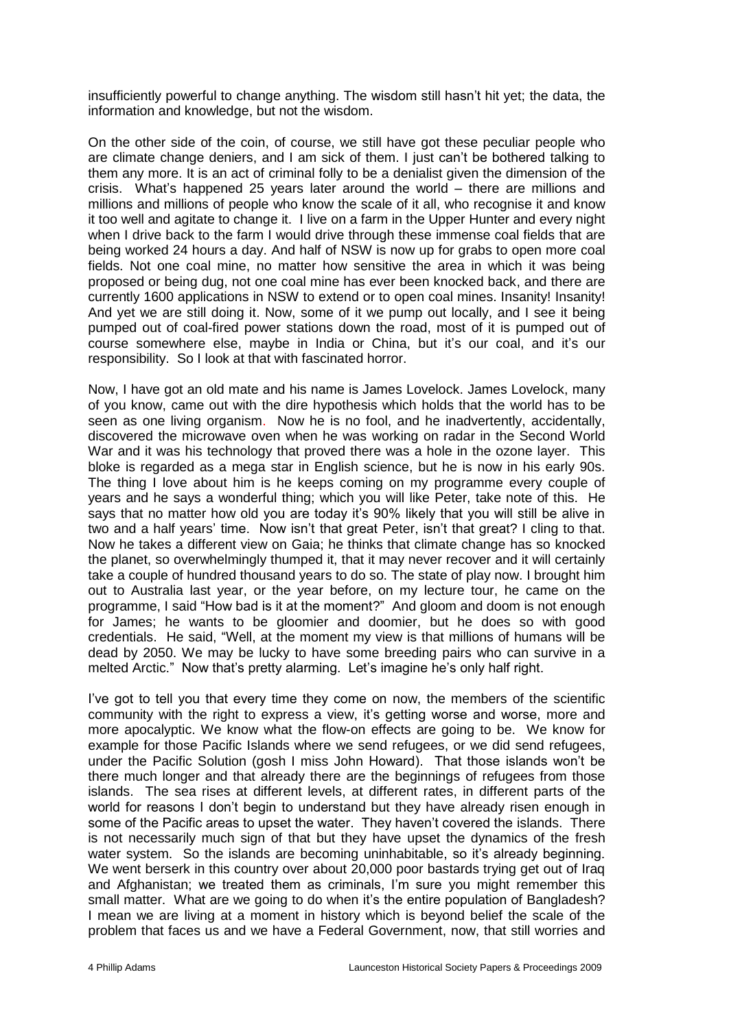insufficiently powerful to change anything. The wisdom still hasn't hit yet; the data, the information and knowledge, but not the wisdom.

On the other side of the coin, of course, we still have got these peculiar people who are climate change deniers, and I am sick of them. I just can't be bothered talking to them any more. It is an act of criminal folly to be a denialist given the dimension of the crisis. What's happened 25 years later around the world – there are millions and millions and millions of people who know the scale of it all, who recognise it and know it too well and agitate to change it. I live on a farm in the Upper Hunter and every night when I drive back to the farm I would drive through these immense coal fields that are being worked 24 hours a day. And half of NSW is now up for grabs to open more coal fields. Not one coal mine, no matter how sensitive the area in which it was being proposed or being dug, not one coal mine has ever been knocked back, and there are currently 1600 applications in NSW to extend or to open coal mines. Insanity! Insanity! And yet we are still doing it. Now, some of it we pump out locally, and I see it being pumped out of coal-fired power stations down the road, most of it is pumped out of course somewhere else, maybe in India or China, but it's our coal, and it's our responsibility. So I look at that with fascinated horror.

Now, I have got an old mate and his name is James Lovelock. James Lovelock, many of you know, came out with the dire hypothesis which holds that the world has to be seen as one living organism. Now he is no fool, and he inadvertently, accidentally, discovered the microwave oven when he was working on radar in the Second World War and it was his technology that proved there was a hole in the ozone layer. This bloke is regarded as a mega star in English science, but he is now in his early 90s. The thing I love about him is he keeps coming on my programme every couple of years and he says a wonderful thing; which you will like Peter, take note of this. He says that no matter how old you are today it's 90% likely that you will still be alive in two and a half years' time. Now isn't that great Peter, isn't that great? I cling to that. Now he takes a different view on Gaia; he thinks that climate change has so knocked the planet, so overwhelmingly thumped it, that it may never recover and it will certainly take a couple of hundred thousand years to do so. The state of play now. I brought him out to Australia last year, or the year before, on my lecture tour, he came on the programme, I said "How bad is it at the moment?" And gloom and doom is not enough for James; he wants to be gloomier and doomier, but he does so with good credentials. He said, "Well, at the moment my view is that millions of humans will be dead by 2050. We may be lucky to have some breeding pairs who can survive in a melted Arctic." Now that's pretty alarming. Let's imagine he's only half right.

I've got to tell you that every time they come on now, the members of the scientific community with the right to express a view, it's getting worse and worse, more and more apocalyptic. We know what the flow-on effects are going to be. We know for example for those Pacific Islands where we send refugees, or we did send refugees, under the Pacific Solution (gosh I miss John Howard). That those islands won't be there much longer and that already there are the beginnings of refugees from those islands. The sea rises at different levels, at different rates, in different parts of the world for reasons I don't begin to understand but they have already risen enough in some of the Pacific areas to upset the water. They haven't covered the islands. There is not necessarily much sign of that but they have upset the dynamics of the fresh water system. So the islands are becoming uninhabitable, so it's already beginning. We went berserk in this country over about 20,000 poor bastards trying get out of Iraq and Afghanistan; we treated them as criminals, I'm sure you might remember this small matter. What are we going to do when it's the entire population of Bangladesh? I mean we are living at a moment in history which is beyond belief the scale of the problem that faces us and we have a Federal Government, now, that still worries and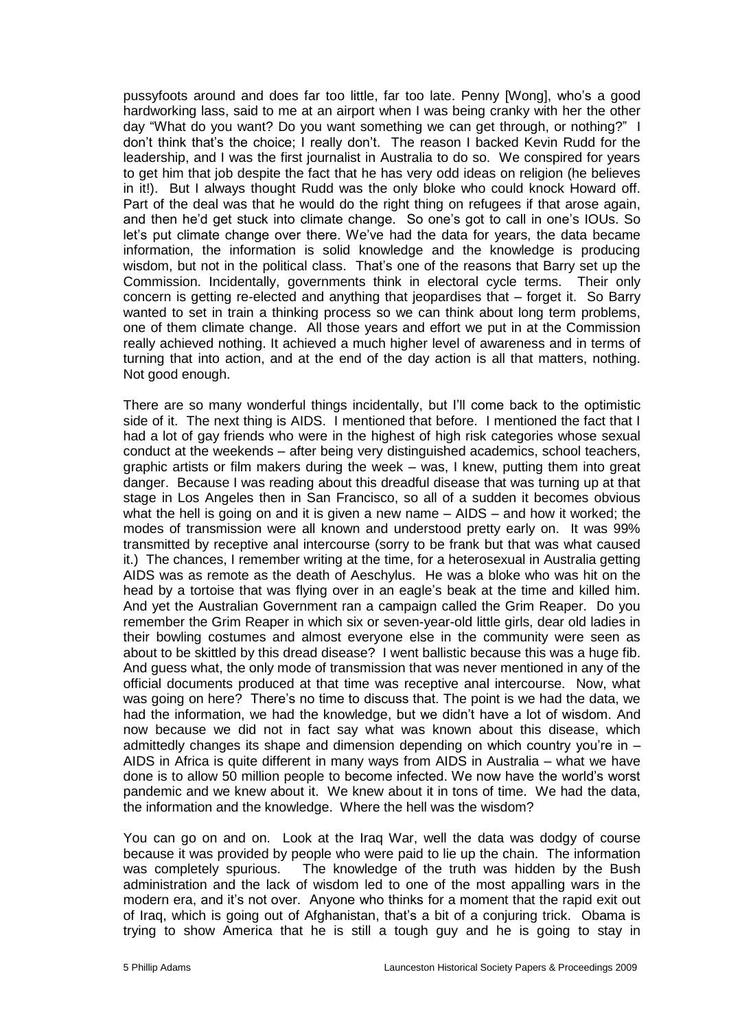pussyfoots around and does far too little, far too late. Penny [Wong], who's a good hardworking lass, said to me at an airport when I was being cranky with her the other day "What do you want? Do you want something we can get through, or nothing?" I don't think that's the choice; I really don't. The reason I backed Kevin Rudd for the leadership, and I was the first journalist in Australia to do so. We conspired for years to get him that job despite the fact that he has very odd ideas on religion (he believes in it!). But I always thought Rudd was the only bloke who could knock Howard off. Part of the deal was that he would do the right thing on refugees if that arose again, and then he'd get stuck into climate change. So one's got to call in one's IOUs. So let's put climate change over there. We've had the data for years, the data became information, the information is solid knowledge and the knowledge is producing wisdom, but not in the political class. That's one of the reasons that Barry set up the Commission. Incidentally, governments think in electoral cycle terms. Their only concern is getting re-elected and anything that jeopardises that – forget it. So Barry wanted to set in train a thinking process so we can think about long term problems, one of them climate change. All those years and effort we put in at the Commission really achieved nothing. It achieved a much higher level of awareness and in terms of turning that into action, and at the end of the day action is all that matters, nothing. Not good enough.

There are so many wonderful things incidentally, but I'll come back to the optimistic side of it. The next thing is AIDS. I mentioned that before. I mentioned the fact that I had a lot of gay friends who were in the highest of high risk categories whose sexual conduct at the weekends – after being very distinguished academics, school teachers, graphic artists or film makers during the week – was, I knew, putting them into great danger. Because I was reading about this dreadful disease that was turning up at that stage in Los Angeles then in San Francisco, so all of a sudden it becomes obvious what the hell is going on and it is given a new name – AIDS – and how it worked; the modes of transmission were all known and understood pretty early on. It was 99% transmitted by receptive anal intercourse (sorry to be frank but that was what caused it.) The chances, I remember writing at the time, for a heterosexual in Australia getting AIDS was as remote as the death of Aeschylus. He was a bloke who was hit on the head by a tortoise that was flying over in an eagle's beak at the time and killed him. And yet the Australian Government ran a campaign called the Grim Reaper. Do you remember the Grim Reaper in which six or seven-year-old little girls, dear old ladies in their bowling costumes and almost everyone else in the community were seen as about to be skittled by this dread disease? I went ballistic because this was a huge fib. And guess what, the only mode of transmission that was never mentioned in any of the official documents produced at that time was receptive anal intercourse. Now, what was going on here? There's no time to discuss that. The point is we had the data, we had the information, we had the knowledge, but we didn't have a lot of wisdom. And now because we did not in fact say what was known about this disease, which admittedly changes its shape and dimension depending on which country you're in – AIDS in Africa is quite different in many ways from AIDS in Australia – what we have done is to allow 50 million people to become infected. We now have the world's worst pandemic and we knew about it. We knew about it in tons of time. We had the data, the information and the knowledge. Where the hell was the wisdom?

You can go on and on. Look at the Iraq War, well the data was dodgy of course because it was provided by people who were paid to lie up the chain. The information was completely spurious. The knowledge of the truth was hidden by the Bush administration and the lack of wisdom led to one of the most appalling wars in the modern era, and it's not over. Anyone who thinks for a moment that the rapid exit out of Iraq, which is going out of Afghanistan, that's a bit of a conjuring trick. Obama is trying to show America that he is still a tough guy and he is going to stay in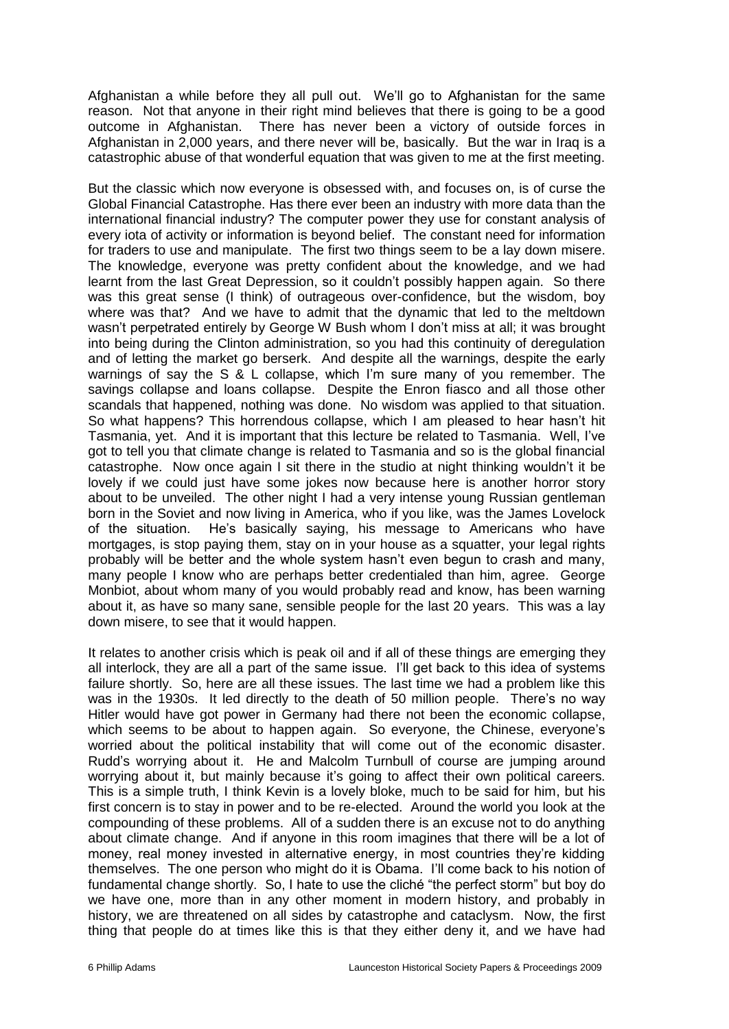Afghanistan a while before they all pull out. We'll go to Afghanistan for the same reason. Not that anyone in their right mind believes that there is going to be a good outcome in Afghanistan. There has never been a victory of outside forces in Afghanistan in 2,000 years, and there never will be, basically. But the war in Iraq is a catastrophic abuse of that wonderful equation that was given to me at the first meeting.

But the classic which now everyone is obsessed with, and focuses on, is of curse the Global Financial Catastrophe. Has there ever been an industry with more data than the international financial industry? The computer power they use for constant analysis of every iota of activity or information is beyond belief. The constant need for information for traders to use and manipulate. The first two things seem to be a lay down misere. The knowledge, everyone was pretty confident about the knowledge, and we had learnt from the last Great Depression, so it couldn't possibly happen again. So there was this great sense (I think) of outrageous over-confidence, but the wisdom, boy where was that? And we have to admit that the dynamic that led to the meltdown wasn't perpetrated entirely by George W Bush whom I don't miss at all; it was brought into being during the Clinton administration, so you had this continuity of deregulation and of letting the market go berserk. And despite all the warnings, despite the early warnings of say the S & L collapse, which I'm sure many of you remember. The savings collapse and loans collapse. Despite the Enron fiasco and all those other scandals that happened, nothing was done. No wisdom was applied to that situation. So what happens? This horrendous collapse, which I am pleased to hear hasn't hit Tasmania, yet. And it is important that this lecture be related to Tasmania. Well, I've got to tell you that climate change is related to Tasmania and so is the global financial catastrophe. Now once again I sit there in the studio at night thinking wouldn't it be lovely if we could just have some jokes now because here is another horror story about to be unveiled. The other night I had a very intense young Russian gentleman born in the Soviet and now living in America, who if you like, was the James Lovelock of the situation. He's basically saying, his message to Americans who have mortgages, is stop paying them, stay on in your house as a squatter, your legal rights probably will be better and the whole system hasn't even begun to crash and many, many people I know who are perhaps better credentialed than him, agree. George Monbiot, about whom many of you would probably read and know, has been warning about it, as have so many sane, sensible people for the last 20 years. This was a lay down misere, to see that it would happen.

It relates to another crisis which is peak oil and if all of these things are emerging they all interlock, they are all a part of the same issue. I'll get back to this idea of systems failure shortly. So, here are all these issues. The last time we had a problem like this was in the 1930s. It led directly to the death of 50 million people. There's no way Hitler would have got power in Germany had there not been the economic collapse, which seems to be about to happen again. So everyone, the Chinese, everyone's worried about the political instability that will come out of the economic disaster. Rudd's worrying about it. He and Malcolm Turnbull of course are jumping around worrying about it, but mainly because it's going to affect their own political careers. This is a simple truth, I think Kevin is a lovely bloke, much to be said for him, but his first concern is to stay in power and to be re-elected. Around the world you look at the compounding of these problems. All of a sudden there is an excuse not to do anything about climate change. And if anyone in this room imagines that there will be a lot of money, real money invested in alternative energy, in most countries they're kidding themselves. The one person who might do it is Obama. I'll come back to his notion of fundamental change shortly. So, I hate to use the cliché "the perfect storm" but boy do we have one, more than in any other moment in modern history, and probably in history, we are threatened on all sides by catastrophe and cataclysm. Now, the first thing that people do at times like this is that they either deny it, and we have had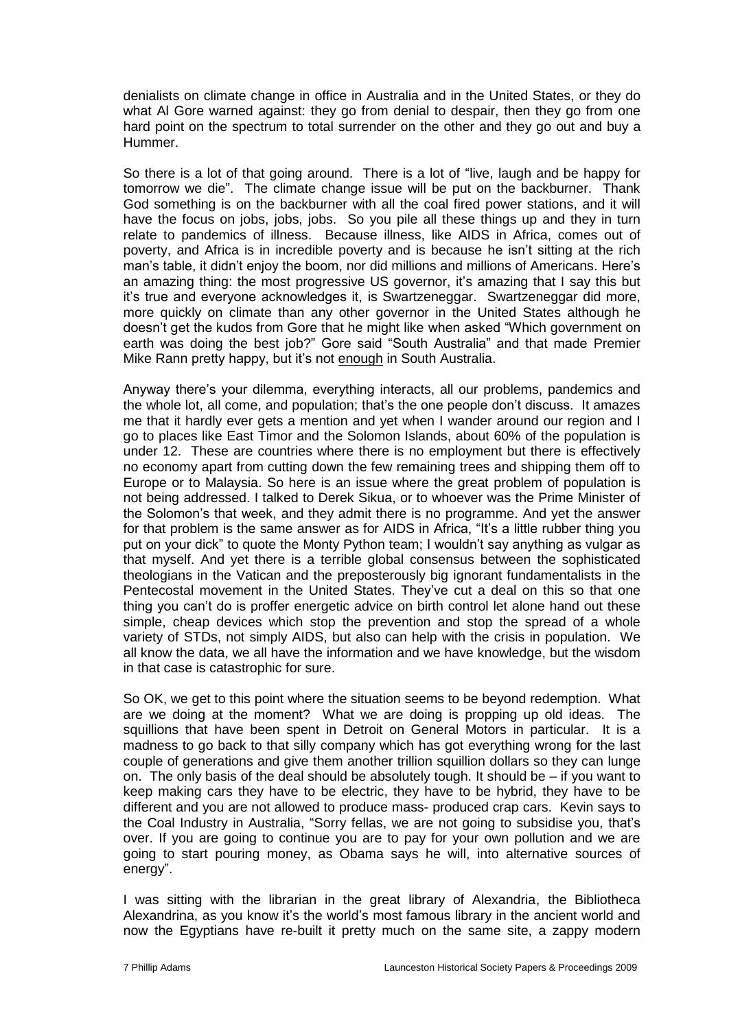denialists on climate change in office in Australia and in the United States, or they do what Al Gore warned against: they go from denial to despair, then they go from one hard point on the spectrum to total surrender on the other and they go out and buy a Hummer.

So there is a lot of that going around. There is a lot of "live, laugh and be happy for tomorrow we die". The climate change issue will be put on the backburner. Thank God something is on the backburner with all the coal fired power stations, and it will have the focus on jobs, jobs, jobs. So you pile all these things up and they in turn relate to pandemics of illness. Because illness, like AIDS in Africa, comes out of poverty, and Africa is in incredible poverty and is because he isn't sitting at the rich man's table, it didn't enjoy the boom, nor did millions and millions of Americans. Here's an amazing thing: the most progressive US governor, it's amazing that I say this but it's true and everyone acknowledges it, is Swartzeneggar. Swartzeneggar did more, more quickly on climate than any other governor in the United States although he doesn't get the kudos from Gore that he might like when asked "Which government on earth was doing the best job?" Gore said "South Australia" and that made Premier Mike Rann pretty happy, but it's not enough in South Australia.

Anyway there's your dilemma, everything interacts, all our problems, pandemics and the whole lot, all come, and population; that's the one people don't discuss. It amazes me that it hardly ever gets a mention and yet when I wander around our region and I go to places like East Timor and the Solomon Islands, about 60% of the population is under 12. These are countries where there is no employment but there is effectively no economy apart from cutting down the few remaining trees and shipping them off to Europe or to Malaysia. So here is an issue where the great problem of population is not being addressed. I talked to Derek Sikua, or to whoever was the Prime Minister of the Solomon's that week, and they admit there is no programme. And yet the answer for that problem is the same answer as for AIDS in Africa, "It's a little rubber thing you put on your dick" to quote the Monty Python team; I wouldn't say anything as vulgar as that myself. And yet there is a terrible global consensus between the sophisticated theologians in the Vatican and the preposterously big ignorant fundamentalists in the Pentecostal movement in the United States. They've cut a deal on this so that one thing you can't do is proffer energetic advice on birth control let alone hand out these simple, cheap devices which stop the prevention and stop the spread of a whole variety of STDs, not simply AIDS, but also can help with the crisis in population. We all know the data, we all have the information and we have knowledge, but the wisdom in that case is catastrophic for sure.

So OK, we get to this point where the situation seems to be beyond redemption. What are we doing at the moment? What we are doing is propping up old ideas. The squillions that have been spent in Detroit on General Motors in particular. It is a madness to go back to that silly company which has got everything wrong for the last couple of generations and give them another trillion squillion dollars so they can lunge on. The only basis of the deal should be absolutely tough. It should be – if you want to keep making cars they have to be electric, they have to be hybrid, they have to be different and you are not allowed to produce mass- produced crap cars. Kevin says to the Coal Industry in Australia, "Sorry fellas, we are not going to subsidise you, that's over. If you are going to continue you are to pay for your own pollution and we are going to start pouring money, as Obama says he will, into alternative sources of energy".

I was sitting with the librarian in the great library of Alexandria, the Bibliotheca Alexandrina, as you know it's the world's most famous library in the ancient world and now the Egyptians have re-built it pretty much on the same site, a zappy modern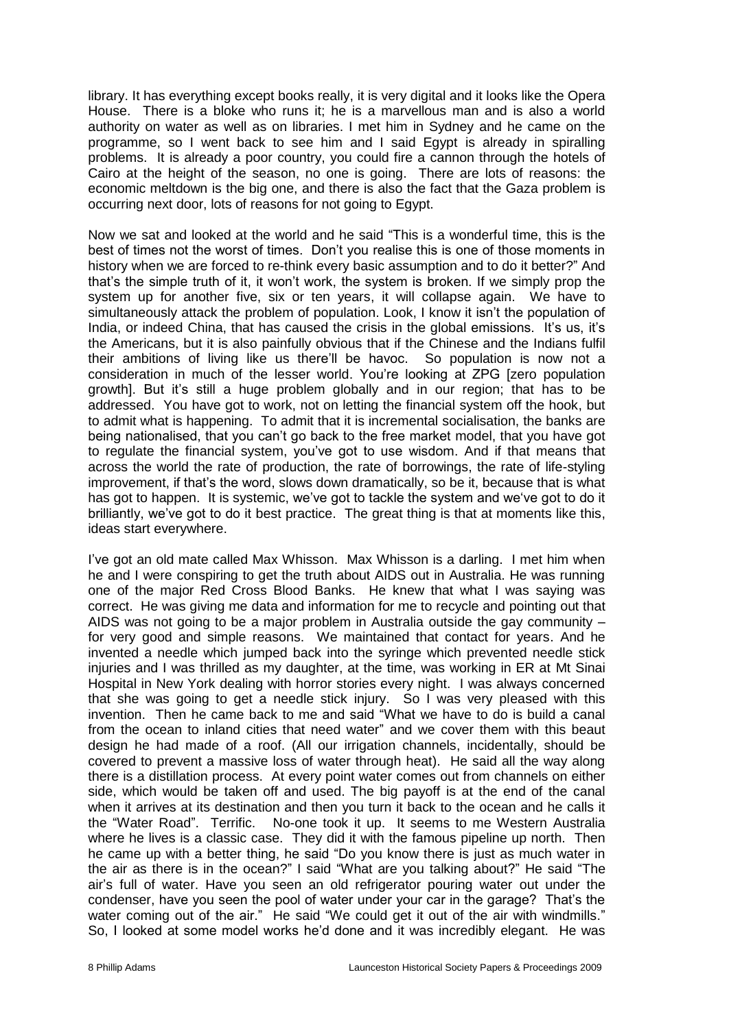library. It has everything except books really, it is very digital and it looks like the Opera House. There is a bloke who runs it; he is a marvellous man and is also a world authority on water as well as on libraries. I met him in Sydney and he came on the programme, so I went back to see him and I said Egypt is already in spiralling problems. It is already a poor country, you could fire a cannon through the hotels of Cairo at the height of the season, no one is going. There are lots of reasons: the economic meltdown is the big one, and there is also the fact that the Gaza problem is occurring next door, lots of reasons for not going to Egypt.

Now we sat and looked at the world and he said "This is a wonderful time, this is the best of times not the worst of times. Don't you realise this is one of those moments in history when we are forced to re-think every basic assumption and to do it better?" And that's the simple truth of it, it won't work, the system is broken. If we simply prop the system up for another five, six or ten years, it will collapse again. We have to simultaneously attack the problem of population. Look, I know it isn't the population of India, or indeed China, that has caused the crisis in the global emissions. It's us, it's the Americans, but it is also painfully obvious that if the Chinese and the Indians fulfil their ambitions of living like us there'll be havoc. So population is now not a consideration in much of the lesser world. You're looking at ZPG [zero population growth]. But it's still a huge problem globally and in our region; that has to be addressed. You have got to work, not on letting the financial system off the hook, but to admit what is happening. To admit that it is incremental socialisation, the banks are being nationalised, that you can't go back to the free market model, that you have got to regulate the financial system, you've got to use wisdom. And if that means that across the world the rate of production, the rate of borrowings, the rate of life-styling improvement, if that's the word, slows down dramatically, so be it, because that is what has got to happen. It is systemic, we've got to tackle the system and we've got to do it brilliantly, we've got to do it best practice. The great thing is that at moments like this, ideas start everywhere.

I've got an old mate called Max Whisson. Max Whisson is a darling. I met him when he and I were conspiring to get the truth about AIDS out in Australia. He was running one of the major Red Cross Blood Banks. He knew that what I was saying was correct. He was giving me data and information for me to recycle and pointing out that AIDS was not going to be a major problem in Australia outside the gay community – for very good and simple reasons. We maintained that contact for years. And he invented a needle which jumped back into the syringe which prevented needle stick injuries and I was thrilled as my daughter, at the time, was working in ER at Mt Sinai Hospital in New York dealing with horror stories every night. I was always concerned that she was going to get a needle stick injury. So I was very pleased with this invention. Then he came back to me and said "What we have to do is build a canal from the ocean to inland cities that need water" and we cover them with this beaut design he had made of a roof. (All our irrigation channels, incidentally, should be covered to prevent a massive loss of water through heat). He said all the way along there is a distillation process. At every point water comes out from channels on either side, which would be taken off and used. The big payoff is at the end of the canal when it arrives at its destination and then you turn it back to the ocean and he calls it the "Water Road". Terrific. No-one took it up. It seems to me Western Australia where he lives is a classic case. They did it with the famous pipeline up north. Then he came up with a better thing, he said "Do you know there is just as much water in the air as there is in the ocean?" I said "What are you talking about?" He said "The air's full of water. Have you seen an old refrigerator pouring water out under the condenser, have you seen the pool of water under your car in the garage? That's the water coming out of the air." He said "We could get it out of the air with windmills." So, I looked at some model works he'd done and it was incredibly elegant. He was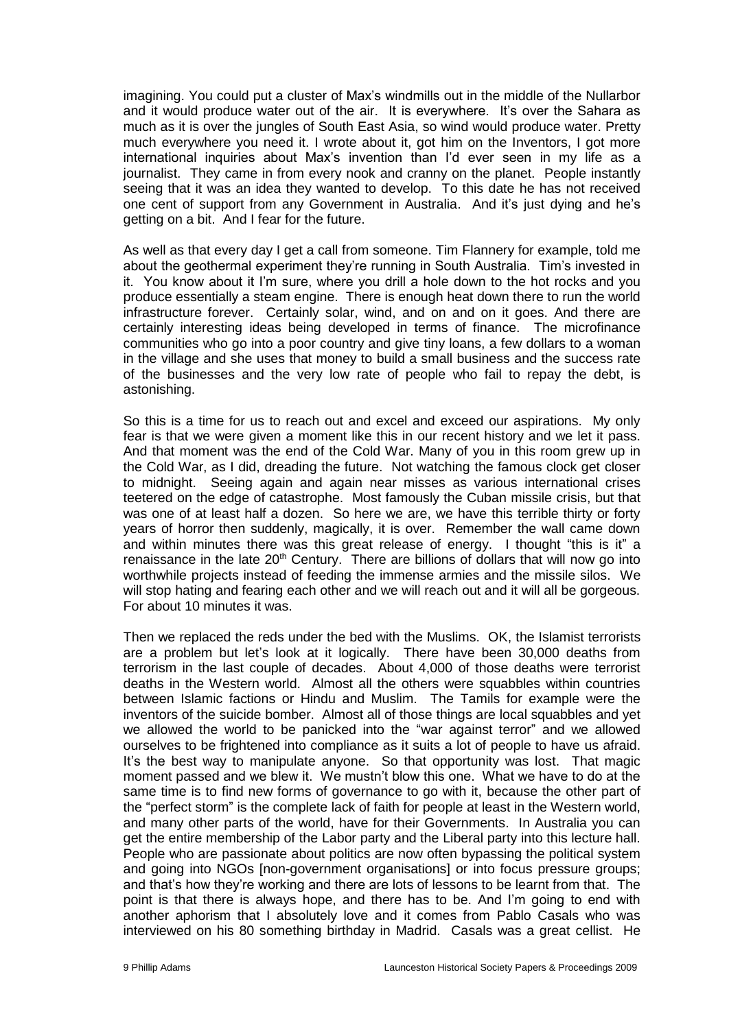imagining. You could put a cluster of Max's windmills out in the middle of the Nullarbor and it would produce water out of the air. It is everywhere. It's over the Sahara as much as it is over the jungles of South East Asia, so wind would produce water. Pretty much everywhere you need it. I wrote about it, got him on the Inventors, I got more international inquiries about Max's invention than I'd ever seen in my life as a journalist. They came in from every nook and cranny on the planet. People instantly seeing that it was an idea they wanted to develop. To this date he has not received one cent of support from any Government in Australia. And it's just dying and he's getting on a bit. And I fear for the future.

As well as that every day I get a call from someone. Tim Flannery for example, told me about the geothermal experiment they're running in South Australia. Tim's invested in it. You know about it I'm sure, where you drill a hole down to the hot rocks and you produce essentially a steam engine. There is enough heat down there to run the world infrastructure forever. Certainly solar, wind, and on and on it goes. And there are certainly interesting ideas being developed in terms of finance. The microfinance communities who go into a poor country and give tiny loans, a few dollars to a woman in the village and she uses that money to build a small business and the success rate of the businesses and the very low rate of people who fail to repay the debt, is astonishing.

So this is a time for us to reach out and excel and exceed our aspirations. My only fear is that we were given a moment like this in our recent history and we let it pass. And that moment was the end of the Cold War. Many of you in this room grew up in the Cold War, as I did, dreading the future. Not watching the famous clock get closer to midnight. Seeing again and again near misses as various international crises teetered on the edge of catastrophe. Most famously the Cuban missile crisis, but that was one of at least half a dozen. So here we are, we have this terrible thirty or forty years of horror then suddenly, magically, it is over. Remember the wall came down and within minutes there was this great release of energy. I thought "this is it" a renaissance in the late  $20<sup>th</sup>$  Century. There are billions of dollars that will now go into worthwhile projects instead of feeding the immense armies and the missile silos. We will stop hating and fearing each other and we will reach out and it will all be gorgeous. For about 10 minutes it was.

Then we replaced the reds under the bed with the Muslims. OK, the Islamist terrorists are a problem but let's look at it logically. There have been 30,000 deaths from terrorism in the last couple of decades. About 4,000 of those deaths were terrorist deaths in the Western world. Almost all the others were squabbles within countries between Islamic factions or Hindu and Muslim. The Tamils for example were the inventors of the suicide bomber. Almost all of those things are local squabbles and yet we allowed the world to be panicked into the "war against terror" and we allowed ourselves to be frightened into compliance as it suits a lot of people to have us afraid. It's the best way to manipulate anyone. So that opportunity was lost. That magic moment passed and we blew it. We mustn't blow this one. What we have to do at the same time is to find new forms of governance to go with it, because the other part of the "perfect storm" is the complete lack of faith for people at least in the Western world, and many other parts of the world, have for their Governments. In Australia you can get the entire membership of the Labor party and the Liberal party into this lecture hall. People who are passionate about politics are now often bypassing the political system and going into NGOs [non-government organisations] or into focus pressure groups; and that's how they're working and there are lots of lessons to be learnt from that. The point is that there is always hope, and there has to be. And I'm going to end with another aphorism that I absolutely love and it comes from Pablo Casals who was interviewed on his 80 something birthday in Madrid. Casals was a great cellist. He